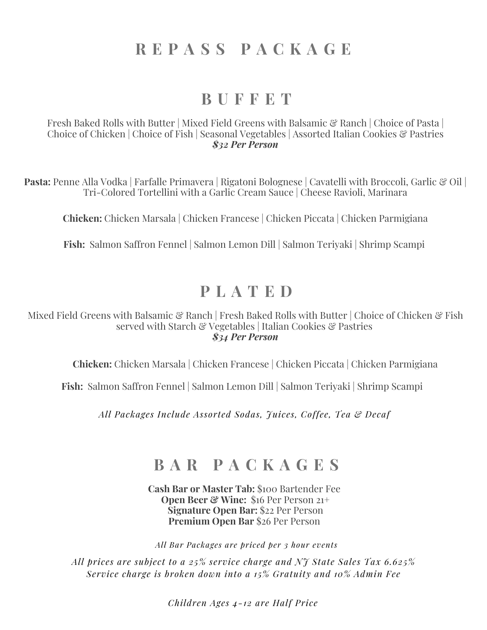# **R E P A S S P A C K A G E**

### **B U F F E T**

Fresh Baked Rolls with Butter | Mixed Field Greens with Balsamic & Ranch | Choice of Pasta | Choice of Chicken | Choice of Fish | Seasonal Vegetables | Assorted Italian Cookies & Pastries *\$32 Per Person*

**Pasta:** Penne Alla Vodka | Farfalle Primavera | Rigatoni Bolognese | Cavatelli with Broccoli, Garlic & Oil | Tri-Colored Tortellini with a Garlic Cream Sauce | Cheese Ravioli, Marinara

**Chicken:** Chicken Marsala | Chicken Francese | Chicken Piccata | Chicken Parmigiana

**Fish:** Salmon Saffron Fennel | Salmon Lemon Dill | Salmon Teriyaki | Shrimp Scampi

# **P L A T E D**

Mixed Field Greens with Balsamic & Ranch | Fresh Baked Rolls with Butter | Choice of Chicken & Fish served with Starch & Vegetables | Italian Cookies & Pastries *\$34 Per Person*

**Chicken:** Chicken Marsala | Chicken Francese | Chicken Piccata | Chicken Parmigiana

**Fish:** Salmon Saffron Fennel | Salmon Lemon Dill | Salmon Teriyaki | Shrimp Scampi

*All Packages Include Assorted Sodas, Juices, Coffee, Tea & Decaf*

# **B A R P A C K A G E S**

**Cash Bar or Master Tab:** \$100 Bartender Fee **Open Beer & Wine:** \$16 Per Person 21+ **Signature Open Bar:** \$22 Per Person **Premium Open Bar** \$26 Per Person

*All Bar Packages are priced per 3 hour events*

*All prices are subject to a 25% service charge and NJ State Sales Tax 6.625% Service charge is broken down into a 15% Gratuity and 10% Admin Fee*

*Children Ages 4-12 are Half Price*